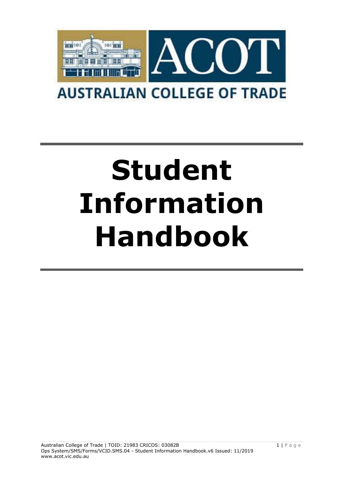

# **Student Information Handbook**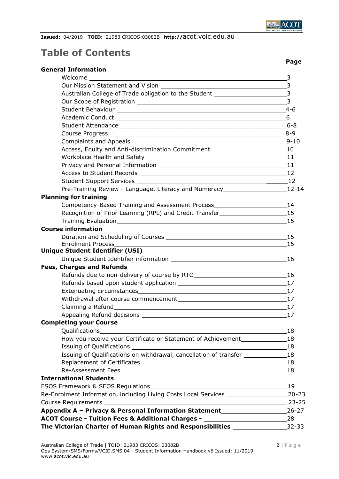

 **Page**

**Issued:** 04/2019 **TOID:** 21983 CRICOS:03082B **http://**acot.voic.edu.au

# **Table of Contents**

| Australian College of Trade obligation to the Student __________________________3    |                |
|--------------------------------------------------------------------------------------|----------------|
|                                                                                      | $\overline{3}$ |
|                                                                                      |                |
|                                                                                      |                |
|                                                                                      |                |
|                                                                                      |                |
| Complaints and Appeals                                                               |                |
| Access, Equity and Anti-discrimination Commitment 10 10                              |                |
|                                                                                      |                |
|                                                                                      |                |
|                                                                                      |                |
|                                                                                      |                |
| Pre-Training Review - Language, Literacy and Numeracy__________________________12-14 |                |
| <b>Planning for training</b>                                                         |                |
| Competency-Based Training and Assessment Process_______________________________14    |                |
| Recognition of Prior Learning (RPL) and Credit Transfer________________________15    |                |
| Training Evaluation 15                                                               |                |
| <b>Course information</b>                                                            |                |
|                                                                                      |                |
| <b>Enrolment Process</b>                                                             | 15             |
| <b>Unique Student Identifier (USI)</b>                                               |                |
|                                                                                      |                |
| <b>Fees, Charges and Refunds</b>                                                     |                |
|                                                                                      |                |
|                                                                                      |                |
|                                                                                      |                |
| Withdrawal after course commencement 17 17                                           |                |
|                                                                                      |                |
|                                                                                      |                |
| <b>Completing your Course</b>                                                        |                |
| Qualifications<br><u> 1989 - Johann Stoff, amerikansk politiker (d. 1989)</u>        | 18             |
| How you receive your Certificate or Statement of Achievement 18                      |                |
|                                                                                      |                |
| Issuing of Qualifications on withdrawal, cancellation of transfer ______________18   |                |
|                                                                                      |                |
|                                                                                      | 18             |
| <b>International Students</b>                                                        |                |
|                                                                                      | 19             |
| Re-Enrolment Information, including Living Costs Local Services                      | $20 - 23$      |
|                                                                                      |                |
| Appendix A - Privacy & Personal Information Statement__________________________26-27 |                |
| ACOT Course - Tuition Fees & Additional Charges - ______________________________28   |                |
| The Victorian Charter of Human Rights and Responsibilities ___________________32-33  |                |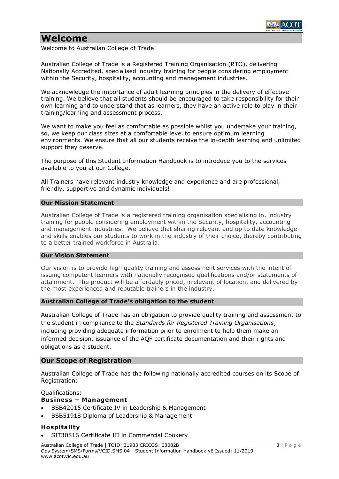

# **Welcome**

Welcome to Australian College of Trade!

Australian College of Trade is a Registered Training Organisation (RTO), delivering Nationally Accredited, specialised industry training for people considering employment within the Security, hospitality, accounting and management industries.

We acknowledge the importance of adult learning principles in the delivery of effective training. We believe that all students should be encouraged to take responsibility for their own learning and to understand that as learners, they have an active role to play in their training/learning and assessment process.

We want to make you feel as comfortable as possible whilst you undertake your training, so, we keep our class sizes at a comfortable level to ensure optimum learning environments. We ensure that all our students receive the in-depth learning and unlimited support they deserve.

The purpose of this Student Information Handbook is to introduce you to the services available to you at our College.

All Trainers have relevant industry knowledge and experience and are professional, friendly, supportive and dynamic individuals!

#### **Our Mission Statement**

Australian College of Trade is a registered training organisation specialising in, industry training for people considering employment within the Security, hospitality, accounting and management industries. We believe that sharing relevant and up to date knowledge and skills enables our students to work in the industry of their choice, thereby contributing to a better trained workforce in Australia.

#### **Our Vision Statement**

Our vision is to provide high quality training and assessment services with the intent of issuing competent learners with nationally recognised qualifications and/or statements of attainment. The product will be affordably priced, irrelevant of location, and delivered by the most experienced and reputable trainers in the industry.

#### **Australian College of Trade's obligation to the student**

Australian College of Trade has an obligation to provide quality training and assessment to the student in compliance to the *Standards for Registered Training Organisations*; including providing adequate information prior to enrolment to help them make an informed decision, issuance of the AQF certificate documentation and their rights and obligations as a student.

# **Our Scope of Registration**

Australian College of Trade has the following nationally accredited courses on its Scope of Registration:

Qualifications:

# **Business – Management**

- BSB42015 Certificate IV in Leadership & Management
- BSB51918 Diploma of Leadership & Management

# **Hospitality**

• SIT30816 Certificate III in Commercial Cookery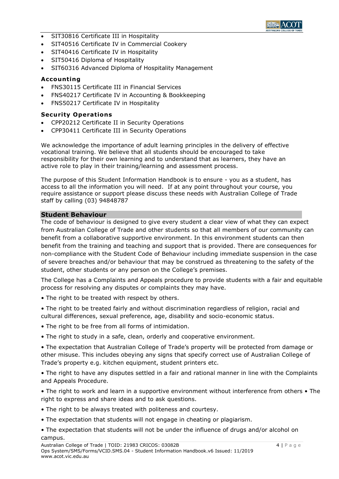

- SIT30816 Certificate III in Hospitality
- SIT40516 Certificate IV in Commercial Cookery
- SIT40416 Certificate IV in Hospitality
- SIT50416 Diploma of Hospitality
- SIT60316 Advanced Diploma of Hospitality Management

#### **Accounting**

- FNS30115 Certificate III in Financial Services
- FNS40217 Certificate IV in Accounting & Bookkeeping
- FNS50217 Certificate IV in Hospitality

#### **Security Operations**

- CPP20212 Certificate II in Security Operations
- CPP30411 Certificate III in Security Operations

We acknowledge the importance of adult learning principles in the delivery of effective vocational training. We believe that all students should be encouraged to take responsibility for their own learning and to understand that as learners, they have an active role to play in their training/learning and assessment process.

The purpose of this Student Information Handbook is to ensure - you as a student, has access to all the information you will need. If at any point throughout your course, you require assistance or support please discuss these needs with Australian College of Trade staff by calling (03) 94848787

#### **Student Behaviour**

The code of behaviour is designed to give every student a clear view of what they can expect from Australian College of Trade and other students so that all members of our community can benefit from a collaborative supportive environment. In this environment students can then benefit from the training and teaching and support that is provided. There are consequences for non-compliance with the Student Code of Behaviour including immediate suspension in the case of severe breaches and/or behaviour that may be construed as threatening to the safety of the student, other students or any person on the College's premises.

The College has a Complaints and Appeals procedure to provide students with a fair and equitable process for resolving any disputes or complaints they may have.

- The right to be treated with respect by others.
- The right to be treated fairly and without discrimination regardless of religion, racial and cultural differences, sexual preference, age, disability and socio-economic status.
- The right to be free from all forms of intimidation.
- The right to study in a safe, clean, orderly and cooperative environment.

• The expectation that Australian College of Trade's property will be protected from damage or other misuse. This includes obeying any signs that specify correct use of Australian College of Trade's property e.g. kitchen equipment, student printers etc.

• The right to have any disputes settled in a fair and rational manner in line with the Complaints and Appeals Procedure.

• The right to work and learn in a supportive environment without interference from others • The right to express and share ideas and to ask questions.

- The right to be always treated with politeness and courtesy.
- The expectation that students will not engage in cheating or plagiarism.
- The expectation that students will not be under the influence of drugs and/or alcohol on campus.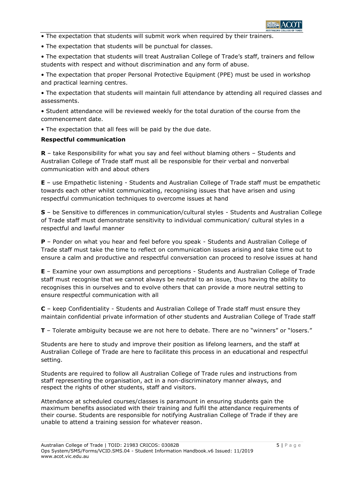

• The expectation that students will submit work when required by their trainers.

• The expectation that students will be punctual for classes.

• The expectation that students will treat Australian College of Trade's staff, trainers and fellow students with respect and without discrimination and any form of abuse.

• The expectation that proper Personal Protective Equipment (PPE) must be used in workshop and practical learning centres.

• The expectation that students will maintain full attendance by attending all required classes and assessments.

• Student attendance will be reviewed weekly for the total duration of the course from the commencement date.

• The expectation that all fees will be paid by the due date.

#### **Respectful communication**

**R** – take Responsibility for what you say and feel without blaming others – Students and Australian College of Trade staff must all be responsible for their verbal and nonverbal communication with and about others

**E** – use Empathetic listening - Students and Australian College of Trade staff must be empathetic towards each other whilst communicating, recognising issues that have arisen and using respectful communication techniques to overcome issues at hand

**S** – be Sensitive to differences in communication/cultural styles - Students and Australian College of Trade staff must demonstrate sensitivity to individual communication/ cultural styles in a respectful and lawful manner

**P** – Ponder on what you hear and feel before you speak - Students and Australian College of Trade staff must take the time to reflect on communication issues arising and take time out to ensure a calm and productive and respectful conversation can proceed to resolve issues at hand

**E** – Examine your own assumptions and perceptions - Students and Australian College of Trade staff must recognise that we cannot always be neutral to an issue, thus having the ability to recognises this in ourselves and to evolve others that can provide a more neutral setting to ensure respectful communication with all

**C** – keep Confidentiality - Students and Australian College of Trade staff must ensure they maintain confidential private information of other students and Australian College of Trade staff

**T** – Tolerate ambiguity because we are not here to debate. There are no "winners" or "losers."

Students are here to study and improve their position as lifelong learners, and the staff at Australian College of Trade are here to facilitate this process in an educational and respectful setting.

Students are required to follow all Australian College of Trade rules and instructions from staff representing the organisation, act in a non-discriminatory manner always, and respect the rights of other students, staff and visitors.

Attendance at scheduled courses/classes is paramount in ensuring students gain the maximum benefits associated with their training and fulfil the attendance requirements of their course. Students are responsible for notifying Australian College of Trade if they are unable to attend a training session for whatever reason.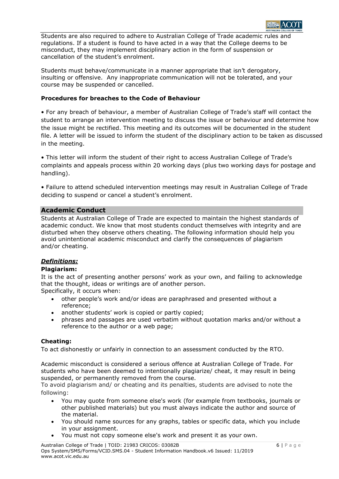

Students are also required to adhere to Australian College of Trade academic rules and regulations. If a student is found to have acted in a way that the College deems to be misconduct, they may implement disciplinary action in the form of suspension or cancellation of the student's enrolment.

Students must behave/communicate in a manner appropriate that isn't derogatory, insulting or offensive. Any inappropriate communication will not be tolerated, and your course may be suspended or cancelled.

# **Procedures for breaches to the Code of Behaviour**

• For any breach of behaviour, a member of Australian College of Trade's staff will contact the student to arrange an intervention meeting to discuss the issue or behaviour and determine how the issue might be rectified. This meeting and its outcomes will be documented in the student file. A letter will be issued to inform the student of the disciplinary action to be taken as discussed in the meeting.

• This letter will inform the student of their right to access Australian College of Trade's complaints and appeals process within 20 working days (plus two working days for postage and handling).

• Failure to attend scheduled intervention meetings may result in Australian College of Trade deciding to suspend or cancel a student's enrolment.

# **Academic Conduct**

Students at Australian College of Trade are expected to maintain the highest standards of academic conduct. We know that most students conduct themselves with integrity and are disturbed when they observe others cheating. The following information should help you avoid unintentional academic misconduct and clarify the consequences of plagiarism and/or cheating.

# *Definitions:*

# **Plagiarism:**

It is the act of presenting another persons' work as your own, and failing to acknowledge that the thought, ideas or writings are of another person.

Specifically, it occurs when:

- other people's work and/or ideas are paraphrased and presented without a reference;
- another students' work is copied or partly copied;
- phrases and passages are used verbatim without quotation marks and/or without a reference to the author or a web page;

# **Cheating:**

To act dishonestly or unfairly in connection to an assessment conducted by the RTO.

Academic misconduct is considered a serious offence at Australian College of Trade. For students who have been deemed to intentionally plagiarize/ cheat, it may result in being suspended, or permanently removed from the course.

To avoid plagiarism and/ or cheating and its penalties, students are advised to note the following:

- You may quote from someone else's work (for example from textbooks, journals or other published materials) but you must always indicate the author and source of the material.
- You should name sources for any graphs, tables or specific data, which you include in your assignment.
- You must not copy someone else's work and present it as your own.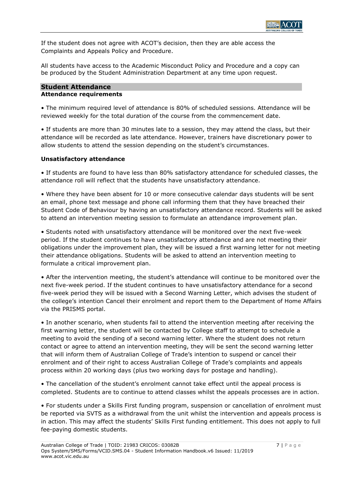

If the student does not agree with ACOT's decision, then they are able access the Complaints and Appeals Policy and Procedure.

All students have access to the Academic Misconduct Policy and Procedure and a copy can be produced by the Student Administration Department at any time upon request.

#### **Student Attendance Attendance requirements**

• The minimum required level of attendance is 80% of scheduled sessions. Attendance will be reviewed weekly for the total duration of the course from the commencement date.

• If students are more than 30 minutes late to a session, they may attend the class, but their attendance will be recorded as late attendance. However, trainers have discretionary power to allow students to attend the session depending on the student's circumstances.

# **Unsatisfactory attendance**

• If students are found to have less than 80% satisfactory attendance for scheduled classes, the attendance roll will reflect that the students have unsatisfactory attendance.

• Where they have been absent for 10 or more consecutive calendar days students will be sent an email, phone text message and phone call informing them that they have breached their Student Code of Behaviour by having an unsatisfactory attendance record. Students will be asked to attend an intervention meeting session to formulate an attendance improvement plan.

• Students noted with unsatisfactory attendance will be monitored over the next five-week period. If the student continues to have unsatisfactory attendance and are not meeting their obligations under the improvement plan, they will be issued a first warning letter for not meeting their attendance obligations. Students will be asked to attend an intervention meeting to formulate a critical improvement plan.

• After the intervention meeting, the student's attendance will continue to be monitored over the next five-week period. If the student continues to have unsatisfactory attendance for a second five-week period they will be issued with a Second Warning Letter, which advises the student of the college's intention Cancel their enrolment and report them to the Department of Home Affairs via the PRISMS portal.

• In another scenario, when students fail to attend the intervention meeting after receiving the first warning letter, the student will be contacted by College staff to attempt to schedule a meeting to avoid the sending of a second warning letter. Where the student does not return contact or agree to attend an intervention meeting, they will be sent the second warning letter that will inform them of Australian College of Trade's intention to suspend or cancel their enrolment and of their right to access Australian College of Trade's complaints and appeals process within 20 working days (plus two working days for postage and handling).

• The cancellation of the student's enrolment cannot take effect until the appeal process is completed. Students are to continue to attend classes whilst the appeals processes are in action.

• For students under a Skills First funding program, suspension or cancellation of enrolment must be reported via SVTS as a withdrawal from the unit whilst the intervention and appeals process is in action. This may affect the students' Skills First funding entitlement. This does not apply to full fee-paying domestic students.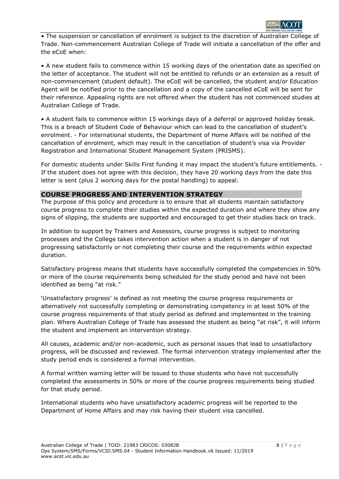

• The suspension or cancellation of enrolment is subject to the discretion of Australian College of Trade. Non-commencement Australian College of Trade will initiate a cancellation of the offer and the eCoE when:

• A new student fails to commence within 15 working days of the orientation date as specified on the letter of acceptance. The student will not be entitled to refunds or an extension as a result of non-commencement (student default). The eCoE will be cancelled, the student and/or Education Agent will be notified prior to the cancellation and a copy of the cancelled eCoE will be sent for their reference. Appealing rights are not offered when the student has not commenced studies at Australian College of Trade.

• A student fails to commence within 15 workings days of a deferral or approved holiday break. This is a breach of Student Code of Behaviour which can lead to the cancellation of student's enrolment. - For international students, the Department of Home Affairs will be notified of the cancellation of enrolment, which may result in the cancellation of student's visa via Provider Registration and International Student Management System (PRISMS).

For domestic students under Skills First funding it may impact the student's future entitlements. -If the student does not agree with this decision, they have 20 working days from the date this letter is sent (plus 2 working days for the postal handling) to appeal.

#### **COURSE PROGRESS AND INTERVENTION STRATEGY**

The purpose of this policy and procedure is to ensure that all students maintain satisfactory course progress to complete their studies within the expected duration and where they show any signs of slipping, the students are supported and encouraged to get their studies back on track.

In addition to support by Trainers and Assessors, course progress is subject to monitoring processes and the College takes intervention action when a student is in danger of not progressing satisfactorily or not completing their course and the requirements within expected duration.

Satisfactory progress means that students have successfully completed the competencies in 50% or more of the course requirements being scheduled for the study period and have not been identified as being "at risk."

'Unsatisfactory progress' is defined as not meeting the course progress requirements or alternatively not successfully completing or demonstrating competency in at least 50% of the course progress requirements of that study period as defined and implemented in the training plan. Where Australian College of Trade has assessed the student as being "at risk", it will inform the student and implement an intervention strategy.

All causes, academic and/or non-academic, such as personal issues that lead to unsatisfactory progress, will be discussed and reviewed. The formal intervention strategy implemented after the study period ends is considered a formal intervention.

A formal written warning letter will be issued to those students who have not successfully completed the assessments in 50% or more of the course progress requirements being studied for that study period.

International students who have unsatisfactory academic progress will be reported to the Department of Home Affairs and may risk having their student visa cancelled.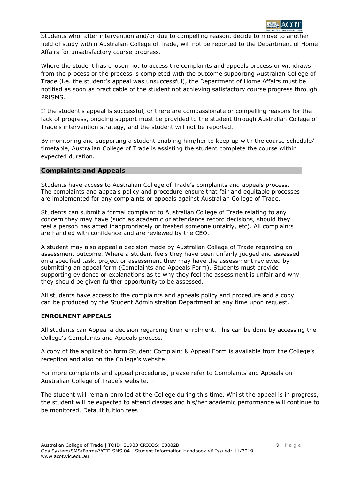

Students who, after intervention and/or due to compelling reason, decide to move to another field of study within Australian College of Trade, will not be reported to the Department of Home Affairs for unsatisfactory course progress.

Where the student has chosen not to access the complaints and appeals process or withdraws from the process or the process is completed with the outcome supporting Australian College of Trade (i.e. the student's appeal was unsuccessful), the Department of Home Affairs must be notified as soon as practicable of the student not achieving satisfactory course progress through PRISMS.

If the student's appeal is successful, or there are compassionate or compelling reasons for the lack of progress, ongoing support must be provided to the student through Australian College of Trade's intervention strategy, and the student will not be reported.

By monitoring and supporting a student enabling him/her to keep up with the course schedule/ timetable, Australian College of Trade is assisting the student complete the course within expected duration.

#### **Complaints and Appeals**

Students have access to Australian College of Trade's complaints and appeals process. The complaints and appeals policy and procedure ensure that fair and equitable processes are implemented for any complaints or appeals against Australian College of Trade.

Students can submit a formal complaint to Australian College of Trade relating to any concern they may have (such as academic or attendance record decisions, should they feel a person has acted inappropriately or treated someone unfairly, etc). All complaints are handled with confidence and are reviewed by the CEO.

A student may also appeal a decision made by Australian College of Trade regarding an assessment outcome. Where a student feels they have been unfairly judged and assessed on a specified task, project or assessment they may have the assessment reviewed by submitting an appeal form (Complaints and Appeals Form). Students must provide supporting evidence or explanations as to why they feel the assessment is unfair and why they should be given further opportunity to be assessed.

All students have access to the complaints and appeals policy and procedure and a copy can be produced by the Student Administration Department at any time upon request.

#### **ENROLMENT APPEALS**

All students can Appeal a decision regarding their enrolment. This can be done by accessing the College's Complaints and Appeals process.

A copy of the application form Student Complaint & Appeal Form is available from the College's reception and also on the College's website.

For more complaints and appeal procedures, please refer to Complaints and Appeals on Australian College of Trade's website. –

The student will remain enrolled at the College during this time. Whilst the appeal is in progress, the student will be expected to attend classes and his/her academic performance will continue to be monitored. Default tuition fees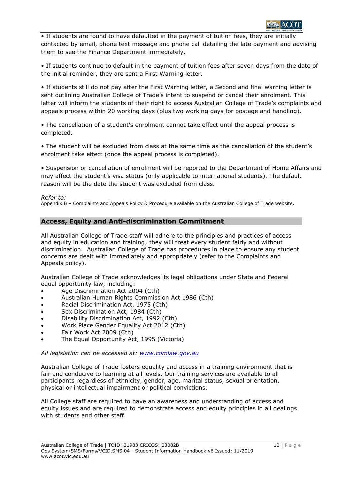

• If students are found to have defaulted in the payment of tuition fees, they are initially contacted by email, phone text message and phone call detailing the late payment and advising them to see the Finance Department immediately.

• If students continue to default in the payment of tuition fees after seven days from the date of the initial reminder, they are sent a First Warning letter.

• If students still do not pay after the First Warning letter, a Second and final warning letter is sent outlining Australian College of Trade's intent to suspend or cancel their enrolment. This letter will inform the students of their right to access Australian College of Trade's complaints and appeals process within 20 working days (plus two working days for postage and handling).

• The cancellation of a student's enrolment cannot take effect until the appeal process is completed.

• The student will be excluded from class at the same time as the cancellation of the student's enrolment take effect (once the appeal process is completed).

• Suspension or cancellation of enrolment will be reported to the Department of Home Affairs and may affect the student's visa status (only applicable to international students). The default reason will be the date the student was excluded from class.

#### *Refer to:*

Appendix B – Complaints and Appeals Policy & Procedure available on the Australian College of Trade website.

# **Access, Equity and Anti-discrimination Commitment**

All Australian College of Trade staff will adhere to the principles and practices of access and equity in education and training; they will treat every student fairly and without discrimination. Australian College of Trade has procedures in place to ensure any student concerns are dealt with immediately and appropriately (refer to the Complaints and Appeals policy).

Australian College of Trade acknowledges its legal obligations under State and Federal equal opportunity law, including:

- Age Discrimination Act 2004 (Cth)
- Australian Human Rights Commission Act 1986 (Cth)
- Racial Discrimination Act, 1975 (Cth)
- Sex Discrimination Act, 1984 (Cth)
- Disability Discrimination Act, 1992 (Cth)
- Work Place Gender Equality Act 2012 (Cth)
- Fair Work Act 2009 (Cth)
- The Equal Opportunity Act, 1995 (Victoria)

#### *All legislation can be accessed at: [www.comlaw.gov.au](file://///Jamesoffice/NTS%20Office/Work%20In%20Progress/New%20Edge%20Training/New%20Edge%20-%20May%20)*

Australian College of Trade fosters equality and access in a training environment that is fair and conducive to learning at all levels. Our training services are available to all participants regardless of ethnicity, gender, age, marital status, sexual orientation, physical or intellectual impairment or political convictions.

All College staff are required to have an awareness and understanding of access and equity issues and are required to demonstrate access and equity principles in all dealings with students and other staff.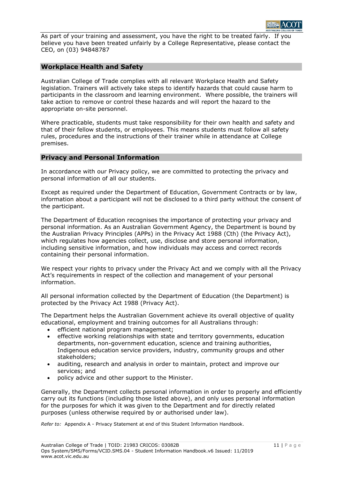As part of your training and assessment, you have the right to be treated fairly. If you believe you have been treated unfairly by a College Representative, please contact the CEO, on (03) 94848787

# **Workplace Health and Safety**

Australian College of Trade complies with all relevant Workplace Health and Safety legislation. Trainers will actively take steps to identify hazards that could cause harm to participants in the classroom and learning environment. Where possible, the trainers will take action to remove or control these hazards and will report the hazard to the appropriate on-site personnel.

Where practicable, students must take responsibility for their own health and safety and that of their fellow students, or employees. This means students must follow all safety rules, procedures and the instructions of their trainer while in attendance at College premises.

# **Privacy and Personal Information**

In accordance with our Privacy policy, we are committed to protecting the privacy and personal information of all our students.

Except as required under the Department of Education, Government Contracts or by law, information about a participant will not be disclosed to a third party without the consent of the participant.

The Department of Education recognises the importance of protecting your privacy and personal information. As an Australian Government Agency, the Department is bound by the Australian Privacy Principles (APPs) in the Privacy Act 1988 (Cth) (the Privacy Act), which regulates how agencies collect, use, disclose and store personal information, including sensitive information, and how individuals may access and correct records containing their personal information.

We respect your rights to privacy under the Privacy Act and we comply with all the Privacy Act's requirements in respect of the collection and management of your personal information.

All personal information collected by the Department of Education (the Department) is protected by the Privacy Act 1988 (Privacy Act).

The Department helps the Australian Government achieve its overall objective of quality educational, employment and training outcomes for all Australians through:

- efficient national program management;
- effective working relationships with state and territory governments, education departments, non-government education, science and training authorities, Indigenous education service providers, industry, community groups and other stakeholders;
- auditing, research and analysis in order to maintain, protect and improve our services; and
- policy advice and other support to the Minister.

Generally, the Department collects personal information in order to properly and efficiently carry out its functions (including those listed above), and only uses personal information for the purposes for which it was given to the Department and for directly related purposes (unless otherwise required by or authorised under law).

*Refer to:* Appendix A - Privacy Statement at end of this Student Information Handbook.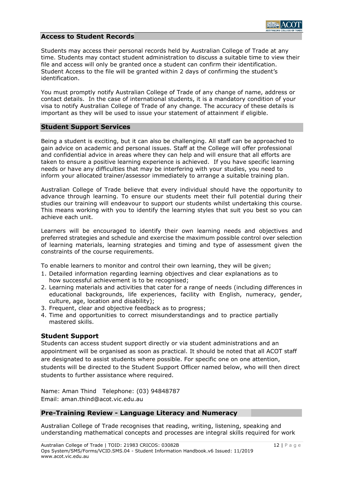#### **Access to Student Records**

Students may access their personal records held by Australian College of Trade at any time. Students may contact student administration to discuss a suitable time to view their file and access will only be granted once a student can confirm their identification. Student Access to the file will be granted within 2 days of confirming the student's identification.

You must promptly notify Australian College of Trade of any change of name, address or contact details. In the case of international students, it is a mandatory condition of your visa to notify Australian College of Trade of any change. The accuracy of these details is important as they will be used to issue your statement of attainment if eligible.

#### **Student Support Services**

Being a student is exciting, but it can also be challenging. All staff can be approached to gain advice on academic and personal issues. Staff at the College will offer professional and confidential advice in areas where they can help and will ensure that all efforts are taken to ensure a positive learning experience is achieved. If you have specific learning needs or have any difficulties that may be interfering with your studies, you need to inform your allocated trainer/assessor immediately to arrange a suitable training plan.

Australian College of Trade believe that every individual should have the opportunity to advance through learning. To ensure our students meet their full potential during their studies our training will endeavour to support our students whilst undertaking this course. This means working with you to identify the learning styles that suit you best so you can achieve each unit.

Learners will be encouraged to identify their own learning needs and objectives and preferred strategies and schedule and exercise the maximum possible control over selection of learning materials, learning strategies and timing and type of assessment given the constraints of the course requirements.

To enable learners to monitor and control their own learning, they will be given;

- 1. Detailed information regarding learning objectives and clear explanations as to how successful achievement is to be recognised;
- 2. Learning materials and activities that cater for a range of needs (including differences in educational backgrounds, life experiences, facility with English, numeracy, gender, culture, age, location and disability);
- 3. Frequent, clear and objective feedback as to progress;
- 4. Time and opportunities to correct misunderstandings and to practice partially mastered skills.

# **Student Support**

Students can access student support directly or via student administrations and an appointment will be organised as soon as practical. It should be noted that all ACOT staff are designated to assist students where possible. For specific one on one attention, students will be directed to the Student Support Officer named below, who will then direct students to further assistance where required.

Name: Aman Thind Telephone: (03) 94848787 Email: aman.thind@acot.vic.edu.au

# **Pre-Training Review - Language Literacy and Numeracy**

Australian College of Trade recognises that reading, writing, listening, speaking and understanding mathematical concepts and processes are integral skills required for work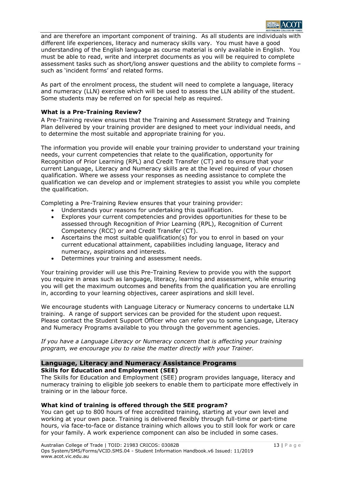

and are therefore an important component of training. As all students are individuals with different life experiences, literacy and numeracy skills vary. You must have a good understanding of the English language as course material is only available in English. You must be able to read, write and interpret documents as you will be required to complete assessment tasks such as short/long answer questions and the ability to complete forms – such as 'incident forms' and related forms.

As part of the enrolment process, the student will need to complete a language, literacy and numeracy (LLN) exercise which will be used to assess the LLN ability of the student. Some students may be referred on for special help as required.

#### **What is a Pre-Training Review?**

A Pre-Training review ensures that the Training and Assessment Strategy and Training Plan delivered by your training provider are designed to meet your individual needs, and to determine the most suitable and appropriate training for you.

The information you provide will enable your training provider to understand your training needs, your current competencies that relate to the qualification, opportunity for Recognition of Prior Learning (RPL) and Credit Transfer (CT) and to ensure that your current Language, Literacy and Numeracy skills are at the level required of your chosen qualification. Where we assess your responses as needing assistance to complete the qualification we can develop and or implement strategies to assist you while you complete the qualification.

Completing a Pre-Training Review ensures that your training provider:

- Understands your reasons for undertaking this qualification.
- Explores your current competencies and provides opportunities for these to be assessed through Recognition of Prior Learning (RPL), Recognition of Current Competency (RCC) or and Credit Transfer (CT).
- Ascertains the most suitable qualification(s) for you to enrol in based on your current educational attainment, capabilities including language, literacy and numeracy, aspirations and interests.
- Determines your training and assessment needs.

Your training provider will use this Pre-Training Review to provide you with the support you require in areas such as language, literacy, learning and assessment, while ensuring you will get the maximum outcomes and benefits from the qualification you are enrolling in, according to your learning objectives, career aspirations and skill level.

We encourage students with Language Literacy or Numeracy concerns to undertake LLN training. A range of support services can be provided for the student upon request. Please contact the Student Support Officer who can refer you to some Language, Literacy and Numeracy Programs available to you through the government agencies.

*If you have a Language Literacy or Numeracy concern that is affecting your training program, we encourage you to raise the matter directly with your Trainer.*

#### **Language, Literacy and Numeracy Assistance Programs Skills for Education and Employment (SEE)**

The Skills for Education and Employment (SEE) program provides language, literacy and numeracy training to eligible job seekers to enable them to participate more effectively in training or in the labour force.

# **What kind of training is offered through the SEE program?**

You can get up to 800 hours of free accredited training, starting at your own level and working at your own pace. Training is delivered flexibly through full-time or part-time hours, via face-to-face or distance training which allows you to still look for work or care for your family. A work experience component can also be included in some cases.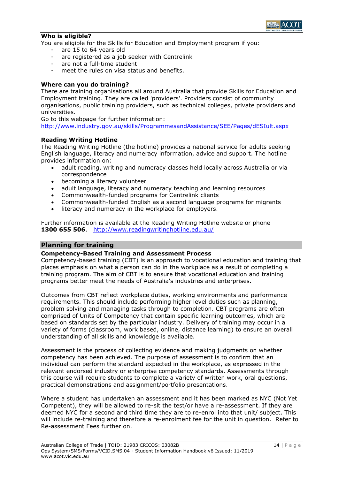

#### **Who is eligible?**

You are eligible for the Skills for Education and Employment program if you:

- are 15 to 64 years old
- are registered as a job seeker with Centrelink
- are not a full-time student
- meet the rules on visa status and benefits.

#### **Where can you do training?**

There are training organisations all around Australia that provide Skills for Education and Employment training. They are called 'providers'. Providers consist of community organisations, public training providers, such as technical colleges, private providers and universities.

Go to this webpage for further information:

[http://www.industry.gov.au/skills/ProgrammesandAssistance/SEE/Pages/dESIult.aspx](http://www.industry.gov.au/skills/ProgrammesandAssistance/SEE/Pages/default.aspx)

#### **Reading Writing Hotline**

The Reading Writing Hotline (the hotline) provides a national service for adults seeking English language, literacy and numeracy information, advice and support. The hotline provides information on:

- adult reading, writing and numeracy classes held locally across Australia or via correspondence
- becoming a literacy volunteer
- adult language, literacy and numeracy teaching and learning resources
- Commonwealth-funded programs for Centrelink clients
- Commonwealth-funded English as a second language programs for migrants
- literacy and numeracy in the workplace for employers.

Further information is available at the Reading Writing Hotline website or phone **1300 655 506**. <http://www.readingwritinghotline.edu.au/>

# **Planning for training**

#### **Competency-Based Training and Assessment Process**

Competency-based training (CBT) is an approach to vocational education and training that places emphasis on what a person can do in the workplace as a result of completing a training program. The aim of CBT is to ensure that vocational education and training programs better meet the needs of Australia's industries and enterprises.

Outcomes from CBT reflect workplace duties, working environments and performance requirements. This should include performing higher level duties such as planning, problem solving and managing tasks through to completion. CBT programs are often comprised of Units of Competency that contain specific learning outcomes, which are based on standards set by the particular industry. Delivery of training may occur in a variety of forms (classroom, work based, online, distance learning) to ensure an overall understanding of all skills and knowledge is available.

Assessment is the process of collecting evidence and making judgments on whether competency has been achieved. The purpose of assessment is to confirm that an individual can perform the standard expected in the workplace, as expressed in the relevant endorsed industry or enterprise competency standards. Assessments through this course will require students to complete a variety of written work, oral questions, practical demonstrations and assignment/portfolio presentations.

Where a student has undertaken an assessment and it has been marked as NYC (Not Yet Competent), they will be allowed to re-sit the test/or have a re-assessment. If they are deemed NYC for a second and third time they are to re-enrol into that unit/ subject. This will include re-training and therefore a re-enrolment fee for the unit in question. Refer to Re-assessment Fees further on.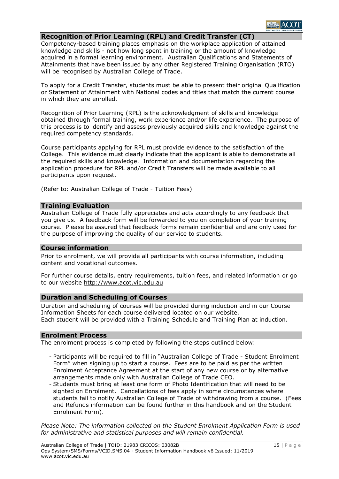# **Recognition of Prior Learning (RPL) and Credit Transfer (CT)**

Competency-based training places emphasis on the workplace application of attained knowledge and skills - not how long spent in training or the amount of knowledge acquired in a formal learning environment. Australian Qualifications and Statements of Attainments that have been issued by any other Registered Training Organisation (RTO) will be recognised by Australian College of Trade.

To apply for a Credit Transfer, students must be able to present their original Qualification or Statement of Attainment with National codes and titles that match the current course in which they are enrolled.

Recognition of Prior Learning (RPL) is the acknowledgment of skills and knowledge obtained through formal training, work experience and/or life experience. The purpose of this process is to identify and assess previously acquired skills and knowledge against the required competency standards.

Course participants applying for RPL must provide evidence to the satisfaction of the College. This evidence must clearly indicate that the applicant is able to demonstrate all the required skills and knowledge. Information and documentation regarding the application procedure for RPL and/or Credit Transfers will be made available to all participants upon request.

(Refer to: Australian College of Trade - Tuition Fees)

#### **Training Evaluation**

Australian College of Trade fully appreciates and acts accordingly to any feedback that you give us. A feedback form will be forwarded to you on completion of your training course. Please be assured that feedback forms remain confidential and are only used for the purpose of improving the quality of our service to students.

#### **Course information**

Prior to enrolment, we will provide all participants with course information, including content and vocational outcomes.

For further course details, entry requirements, tuition fees, and related information or go to our website http://www.acot.vic.edu.au

#### **Duration and Scheduling of Courses**

Duration and scheduling of courses will be provided during induction and in our Course Information Sheets for each course delivered located on our website. Each student will be provided with a Training Schedule and Training Plan at induction.

#### **Enrolment Process**

The enrolment process is completed by following the steps outlined below:

- Participants will be required to fill in "Australian College of Trade Student Enrolment Form" when signing up to start a course. Fees are to be paid as per the written Enrolment Acceptance Agreement at the start of any new course or by alternative arrangements made only with Australian College of Trade CEO.
- Students must bring at least one form of Photo Identification that will need to be sighted on Enrolment. Cancellations of fees apply in some circumstances where students fail to notify Australian College of Trade of withdrawing from a course. (Fees and Refunds information can be found further in this handbook and on the Student Enrolment Form).

*Please Note: The information collected on the Student Enrolment Application Form is used for administrative and statistical purposes and will remain confidential.*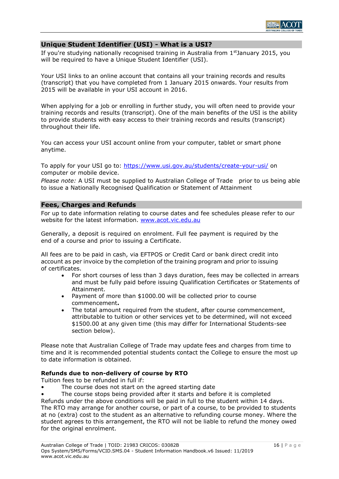

#### **Unique Student Identifier (USI) - What is a USI?**

If you're studying nationally recognised training in Australia from 1<sup>st</sup>January 2015, you will be required to have a Unique Student Identifier (USI).

Your USI links to an online account that contains all your training records and results (transcript) that you have completed from 1 January 2015 onwards. Your results from 2015 will be available in your USI account in 2016.

When applying for a job or enrolling in further study, you will often need to provide your training records and results (transcript). One of the main benefits of the USI is the ability to provide students with easy access to their training records and results (transcript) throughout their life.

You can access your USI account online from your computer, tablet or smart phone anytime.

To apply for your USI go to:<https://www.usi.gov.au/students/create-your-usi/> on computer or mobile device.

*Please note:* A USI must be supplied to Australian College of Trade prior to us being able to issue a Nationally Recognised Qualification or Statement of Attainment

#### **Fees, Charges and Refunds**

For up to date information relating to course dates and fee schedules please refer to our website for the latest information. [www.acot.vic.edu.au](http://www.acot.vic.edu.au/)

Generally, a deposit is required on enrolment. Full fee payment is required by the end of a course and prior to issuing a Certificate.

All fees are to be paid in cash, via EFTPOS or Credit Card or bank direct credit into account as per invoice by the completion of the training program and prior to issuing of certificates.

- For short courses of less than 3 days duration, fees may be collected in arrears and must be fully paid before issuing Qualification Certificates or Statements of Attainment.
- Payment of more than \$1000.00 will be collected prior to course commencement**.**
- The total amount required from the student, after course commencement, attributable to tuition or other services yet to be determined, will not exceed \$1500.00 at any given time (this may differ for International Students-see section below).

Please note that Australian College of Trade may update fees and charges from time to time and it is recommended potential students contact the College to ensure the most up to date information is obtained.

#### **Refunds due to non-delivery of course by RTO**

Tuition fees to be refunded in full if:

- The course does not start on the agreed starting date
- The course stops being provided after it starts and before it is completed

Refunds under the above conditions will be paid in full to the student within 14 days. The RTO may arrange for another course, or part of a course, to be provided to students at no (extra) cost to the student as an alternative to refunding course money. Where the student agrees to this arrangement, the RTO will not be liable to refund the money owed for the original enrolment.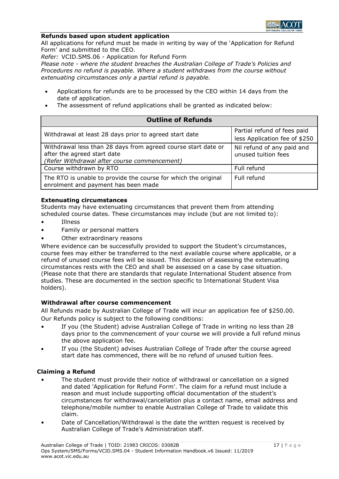

#### **Refunds based upon student application**

All applications for refund must be made in writing by way of the 'Application for Refund Form' and submitted to the CEO.

*Refer:* VCID.SMS.06 - Application for Refund Form

*Please note - where the student breaches the Australian College of Trade's Policies and Procedures no refund is payable. Where a student withdraws from the course without extenuating circumstances only a partial refund is payable.*

- Applications for refunds are to be processed by the CEO within 14 days from the date of application.
- The assessment of refund applications shall be granted as indicated below:

| <b>Outline of Refunds</b>                                                                                                                    |                                                              |
|----------------------------------------------------------------------------------------------------------------------------------------------|--------------------------------------------------------------|
| Withdrawal at least 28 days prior to agreed start date                                                                                       | Partial refund of fees paid<br>less Application fee of \$250 |
| Withdrawal less than 28 days from agreed course start date or<br>after the agreed start date<br>(Refer Withdrawal after course commencement) | Nil refund of any paid and<br>unused tuition fees            |
| Course withdrawn by RTO                                                                                                                      | Full refund                                                  |
| The RTO is unable to provide the course for which the original<br>enrolment and payment has been made                                        | Full refund                                                  |

#### **Extenuating circumstances**

Students may have extenuating circumstances that prevent them from attending scheduled course dates. These circumstances may include (but are not limited to):

- **Illness**
- Family or personal matters
- Other extraordinary reasons

Where evidence can be successfully provided to support the Student's circumstances, course fees may either be transferred to the next available course where applicable, or a refund of unused course fees will be issued. This decision of assessing the extenuating circumstances rests with the CEO and shall be assessed on a case by case situation. (Please note that there are standards that regulate International Student absence from studies. These are documented in the section specific to International Student Visa holders).

# **Withdrawal after course commencement**

All Refunds made by Australian College of Trade will incur an application fee of \$250.00. Our Refunds policy is subject to the following conditions:

- If you (the Student) advise Australian College of Trade in writing no less than 28 days prior to the commencement of your course we will provide a full refund minus the above application fee.
- If you (the Student) advises Australian College of Trade after the course agreed start date has commenced, there will be no refund of unused tuition fees.

#### **Claiming a Refund**

- The student must provide their notice of withdrawal or cancellation on a signed and dated 'Application for Refund Form'. The claim for a refund must include a reason and must include supporting official documentation of the student's circumstances for withdrawal/cancellation plus a contact name, email address and telephone/mobile number to enable Australian College of Trade to validate this claim.
- Date of Cancellation/Withdrawal is the date the written request is received by Australian College of Trade's Administration staff.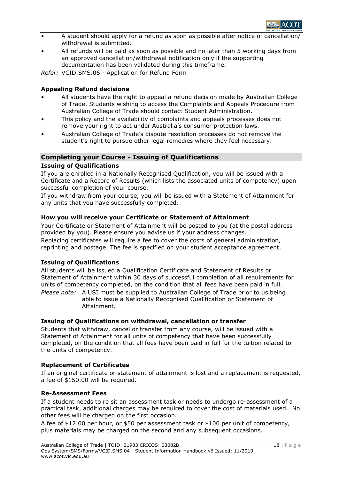

- A student should apply for a refund as soon as possible after notice of cancellation. withdrawal is submitted.
- All refunds will be paid as soon as possible and no later than 5 working days from an approved cancellation/withdrawal notification only if the supporting documentation has been validated during this timeframe.

*Refer:* VCID.SMS.06 - Application for Refund Form

#### **Appealing Refund decisions**

- All students have the right to appeal a refund decision made by Australian College of Trade. Students wishing to access the Complaints and Appeals Procedure from Australian College of Trade should contact Student Administration.
- This policy and the availability of complaints and appeals processes does not remove your right to act under Australia's consumer protection laws.
- Australian College of Trade's dispute resolution processes do not remove the student's right to pursue other legal remedies where they feel necessary.

# **Completing your Course - Issuing of Qualifications**

#### **Issuing of Qualifications**

If you are enrolled in a Nationally Recognised Qualification, you will be issued with a Certificate and a Record of Results (which lists the associated units of competency) upon successful completion of your course.

If you withdraw from your course, you will be issued with a Statement of Attainment for any units that you have successfully completed.

#### **How you will receive your Certificate or Statement of Attainment**

Your Certificate or Statement of Attainment will be posted to you (at the postal address provided by you). Please ensure you advise us if your address changes.

Replacing certificates will require a fee to cover the costs of general administration, reprinting and postage. The fee is specified on your student acceptance agreement.

#### **Issuing of Qualifications**

All students will be issued a Qualification Certificate and Statement of Results or Statement of Attainment within 30 days of successful completion of all requirements for units of competency completed, on the condition that all fees have been paid in full. *Please note:* A USI must be supplied to Australian College of Trade prior to us being

able to issue a Nationally Recognised Qualification or Statement of Attainment.

#### **Issuing of Qualifications on withdrawal, cancellation or transfer**

Students that withdraw, cancel or transfer from any course, will be issued with a Statement of Attainment for all units of competency that have been successfully completed, on the condition that all fees have been paid in full for the tuition related to the units of competency.

#### **Replacement of Certificates**

If an original certificate or statement of attainment is lost and a replacement is requested, a fee of \$150.00 will be required.

#### **Re-Assessment Fees**

If a student needs to re sit an assessment task or needs to undergo re-assessment of a practical task, additional charges may be required to cover the cost of materials used. No other fees will be charged on the first occasion.

A fee of \$12.00 per hour, or \$50 per assessment task or \$100 per unit of competency, plus materials may be charged on the second and any subsequent occasions.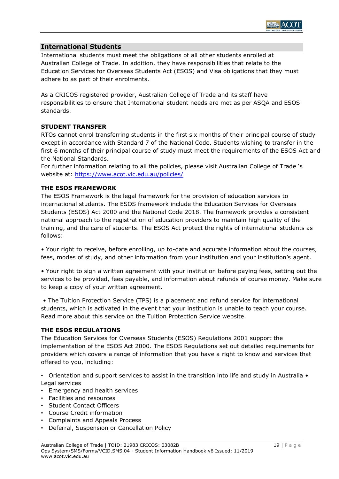

# **International Students**

International students must meet the obligations of all other students enrolled at Australian College of Trade. In addition, they have responsibilities that relate to the Education Services for Overseas Students Act (ESOS) and Visa obligations that they must adhere to as part of their enrolments.

As a CRICOS registered provider, Australian College of Trade and its staff have responsibilities to ensure that International student needs are met as per ASQA and ESOS standards.

#### **STUDENT TRANSFER**

RTOs cannot enrol transferring students in the first six months of their principal course of study except in accordance with Standard 7 of the National Code. Students wishing to transfer in the first 6 months of their principal course of study must meet the requirements of the ESOS Act and the National Standards.

For further information relating to all the policies, please visit Australian College of Trade 's website at: [https://www.acot.vic.edu.au/policies/](https://www.baxter.vic.edu.au/policies/)

#### **THE ESOS FRAMEWORK**

The ESOS Framework is the legal framework for the provision of education services to international students. The ESOS framework include the Education Services for Overseas Students (ESOS) Act 2000 and the National Code 2018. The framework provides a consistent national approach to the registration of education providers to maintain high quality of the training, and the care of students. The ESOS Act protect the rights of international students as follows:

• Your right to receive, before enrolling, up to-date and accurate information about the courses, fees, modes of study, and other information from your institution and your institution's agent.

• Your right to sign a written agreement with your institution before paying fees, setting out the services to be provided, fees payable, and information about refunds of course money. Make sure to keep a copy of your written agreement.

• The Tuition Protection Service (TPS) is a placement and refund service for international students, which is activated in the event that your institution is unable to teach your course. Read more about this service on the Tuition Protection Service website.

#### **THE ESOS REGULATIONS**

The Education Services for Overseas Students (ESOS) Regulations 2001 support the implementation of the ESOS Act 2000. The ESOS Regulations set out detailed requirements for providers which covers a range of information that you have a right to know and services that offered to you, including:

• Orientation and support services to assist in the transition into life and study in Australia • Legal services

- Emergency and health services
- Facilities and resources
- Student Contact Officers
- Course Credit information
- Complaints and Appeals Process
- Deferral, Suspension or Cancellation Policy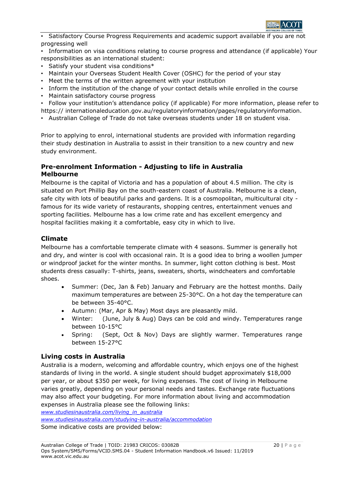

• Satisfactory Course Progress Requirements and academic support available if you are not progressing well

• Information on visa conditions relating to course progress and attendance (if applicable) Your responsibilities as an international student:

- Satisfy your student visa conditions\*
- Maintain your Overseas Student Health Cover (OSHC) for the period of your stay
- Meet the terms of the written agreement with your institution
- Inform the institution of the change of your contact details while enrolled in the course
- Maintain satisfactory course progress

• Follow your institution's attendance policy (if applicable) For more information, please refer to https:// internationaleducation.gov.au/regulatoryinformation/pages/regulatoryinformation.

• Australian College of Trade do not take overseas students under 18 on student visa.

Prior to applying to enrol, international students are provided with information regarding their study destination in Australia to assist in their transition to a new country and new study environment.

# **Pre-enrolment Information - Adjusting to life in Australia Melbourne**

Melbourne is the capital of Victoria and has a population of about 4.5 million. The city is situated on Port Phillip Bay on the south-eastern coast of Australia. Melbourne is a clean, safe city with lots of beautiful parks and gardens. It is a cosmopolitan, multicultural city famous for its wide variety of restaurants, shopping centres, entertainment venues and sporting facilities. Melbourne has a low crime rate and has excellent emergency and hospital facilities making it a comfortable, easy city in which to live.

# **Climate**

Melbourne has a comfortable temperate climate with 4 seasons. Summer is generally hot and dry, and winter is cool with occasional rain. It is a good idea to bring a woollen jumper or windproof jacket for the winter months. In summer, light cotton clothing is best. Most students dress casually: T-shirts, jeans, sweaters, shorts, windcheaters and comfortable shoes.

- Summer: (Dec, Jan & Feb) January and February are the hottest months. Daily maximum temperatures are between 25-30°C. On a hot day the temperature can be between 35-40°C.
- Autumn: (Mar, Apr & May) Most days are pleasantly mild.
- Winter: (June, July & Aug) Days can be cold and windy. Temperatures range between 10-15°C
- Spring: (Sept, Oct & Nov) Days are slightly warmer. Temperatures range between 15-27°C

# **Living costs in Australia**

Australia is a modern, welcoming and affordable country, which enjoys one of the highest standards of living in the world. A single student should budget approximately \$18,000 per year, or about \$350 per week, for living expenses. The cost of living in Melbourne varies greatly, depending on your personal needs and tastes. Exchange rate fluctuations may also affect your budgeting. For more information about living and accommodation expenses in Australia please see the following links:

*[www.studiesinaustralia.com/living\\_in\\_australia](http://www.studiesinaustralia.com/living_in_australia) [www.studiesinaustralia.com/studying-in-australia/accommodation](http://www.studiesinaustralia.com/studying-in-australia/accommodation)* Some indicative costs are provided below: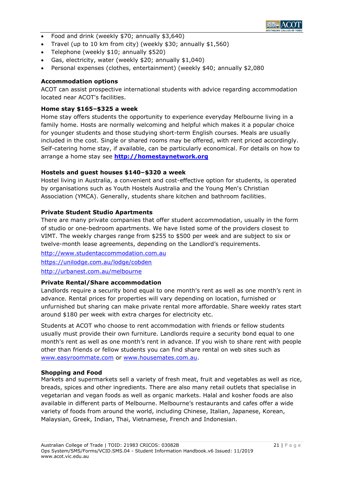

- Food and drink (weekly \$70; annually \$3,640)
- Travel (up to 10 km from city) (weekly \$30; annually \$1,560)
- Telephone (weekly \$10; annually \$520)
- Gas, electricity, water (weekly \$20; annually \$1,040)
- Personal expenses (clothes, entertainment) (weekly \$40; annually \$2,080

#### **Accommodation options**

ACOT can assist prospective international students with advice regarding accommodation located near ACOT's facilities.

#### **Home stay \$165–\$325 a week**

Home stay offers students the opportunity to experience everyday Melbourne living in a family home. Hosts are normally welcoming and helpful which makes it a popular choice for younger students and those studying short-term English courses. Meals are usually included in the cost. Single or shared rooms may be offered, with rent priced accordingly. Self-catering home stay, if available, can be particularly economical. For details on how to arrange a home stay see **[http://homestaynetwork.org](http://homestaynetwork.org/)**

#### **Hostels and guest houses \$140–\$320 a week**

Hostel living in Australia, a convenient and cost-effective option for students, is operated by organisations such as Youth Hostels Australia and the Young Men's Christian Association (YMCA). Generally, students share kitchen and bathroom facilities.

#### **Private Student Studio Apartments**

There are many private companies that offer student accommodation, usually in the form of studio or one-bedroom apartments. We have listed some of the providers closest to VIMT. The weekly charges range from \$255 to \$500 per week and are subject to six or twelve-month lease agreements, depending on the Landlord's requirements.

[http://www.studentaccommodation.com.au](http://www.studentaccommodation.com.au/) <https://unilodge.com.au/lodge/cobden> <http://urbanest.com.au/melbourne>

# **Private Rental/Share accommodation**

Landlords require a security bond equal to one month's rent as well as one month's rent in advance. Rental prices for properties will vary depending on location, furnished or unfurnished but sharing can make private rental more affordable. Share weekly rates start around \$180 per week with extra charges for electricity etc.

Students at ACOT who choose to rent accommodation with friends or fellow students usually must provide their own furniture. Landlords require a security bond equal to one month's rent as well as one month's rent in advance. If you wish to share rent with people other than friends or fellow students you can find share rental on web sites such as [www.easyroommate.com](http://www.easyroommate.com/) or [www.housemates.com.au.](http://www.housemates.com.au/)

#### **Shopping and Food**

Markets and supermarkets sell a variety of fresh meat, fruit and vegetables as well as rice, breads, spices and other ingredients. There are also many retail outlets that specialise in vegetarian and vegan foods as well as organic markets. Halal and kosher foods are also available in different parts of Melbourne. Melbourne's restaurants and cafes offer a wide variety of foods from around the world, including Chinese, Italian, Japanese, Korean, Malaysian, Greek, Indian, Thai, Vietnamese, French and Indonesian.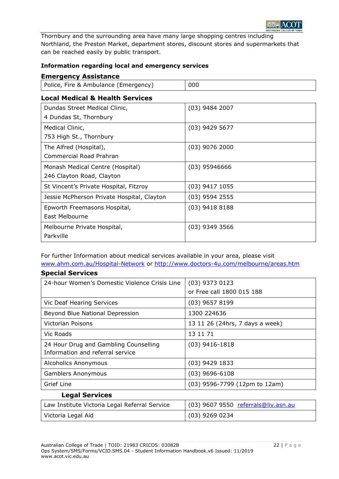

Thornbury and the surrounding area have many large shopping centres including Northland, the Preston Market, department stores, discount stores and supermarkets that can be reached easily by public transport.

# **Information regarding local and emergency services**

# **Emergency Assistance**

**Special Services**

| Police, Fire & Ambulance (Emergency) | 000 |
|--------------------------------------|-----|
|                                      |     |

# **Local Medical & Health Services**

| Dundas Street Medical Clinic,              | $(03)$ 9484 2007 |
|--------------------------------------------|------------------|
| 4 Dundas St, Thornbury                     |                  |
| Medical Clinic,                            | $(03)$ 9429 5677 |
| 753 High St., Thornbury                    |                  |
| The Alfred (Hospital),                     | $(03)$ 9076 2000 |
| Commercial Road Prahran                    |                  |
| Monash Medical Centre (Hospital)           | $(03)$ 95946666  |
| 246 Clayton Road, Clayton                  |                  |
| St Vincent's Private Hospital, Fitzroy     | $(03)$ 9417 1055 |
| Jessie McPherson Private Hospital, Clayton | $(03)$ 9594 2555 |
| Epworth Freemasons Hospital,               | $(03)$ 9418 8188 |
| East Melbourne                             |                  |
| Melbourne Private Hospital,                | $(03)$ 9349 3566 |
| Parkville                                  |                  |

For further Information about medical services available in your area, please visit [www.ahm.com.au/Hospital-Network](http://www.ahm.com.au/Hospital-Network) or<http://www.doctors-4u.com/melbourne/areas.htm>

| ODCCIGI JEI VILES                             |                                     |
|-----------------------------------------------|-------------------------------------|
| 24-hour Women's Domestic Violence Crisis Line | $(03)$ 9373 0123                    |
|                                               | or Free call 1800 015 188           |
| Vic Deaf Hearing Services                     | $(03)$ 9657 8199                    |
| Beyond Blue National Depression               | 1300 224636                         |
| Victorian Poisons                             | 13 11 26 (24hrs, 7 days a week)     |
| Vic Roads                                     | 13 11 71                            |
| 24 Hour Drug and Gambling Counselling         | $(03)$ 9416-1818                    |
| Information and referral service              |                                     |
| Alcoholics Anonymous                          | $(03)$ 9429 1833                    |
| <b>Gamblers Anonymous</b>                     | $(03)$ 9696-6108                    |
| Grief Line                                    | (03) 9596-7799 (12pm to 12am)       |
| <b>Legal Services</b>                         |                                     |
| Law Institute Victoria Legal Referral Service | (03) 9607 9550 referrals@liv.asn.au |
| Victoria Legal Aid                            | (03) 9269 0234                      |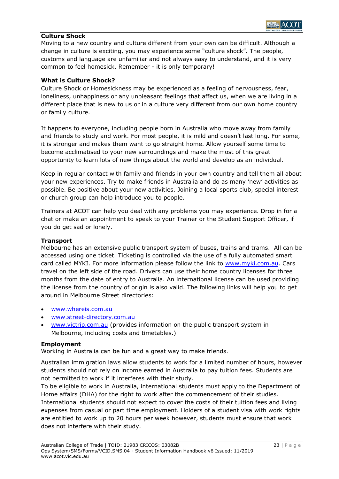# **Culture Shock**

Moving to a new country and culture different from your own can be difficult. Although a change in culture is exciting, you may experience some "culture shock". The people, customs and language are unfamiliar and not always easy to understand, and it is very common to feel homesick. Remember - it is only temporary!

#### **What is Culture Shock?**

Culture Shock or Homesickness may be experienced as a feeling of nervousness, fear, loneliness, unhappiness or any unpleasant feelings that affect us, when we are living in a different place that is new to us or in a culture very different from our own home country or family culture.

It happens to everyone, including people born in Australia who move away from family and friends to study and work. For most people, it is mild and doesn't last long. For some, it is stronger and makes them want to go straight home. Allow yourself some time to become acclimatised to your new surroundings and make the most of this great opportunity to learn lots of new things about the world and develop as an individual.

Keep in regular contact with family and friends in your own country and tell them all about your new experiences. Try to make friends in Australia and do as many 'new' activities as possible. Be positive about your new activities. Joining a local sports club, special interest or church group can help introduce you to people.

Trainers at ACOT can help you deal with any problems you may experience. Drop in for a chat or make an appointment to speak to your Trainer or the Student Support Officer, if you do get sad or lonely.

#### **Transport**

Melbourne has an extensive public transport system of buses, trains and trams. All can be accessed using one ticket. Ticketing is controlled via the use of a fully automated smart card called MYKI. For more information please follow the link to [www.myki.com.au.](http://www.myki.com.au/) Cars travel on the left side of the road. Drivers can use their home country licenses for three months from the date of entry to Australia. An international license can be used providing the license from the country of origin is also valid. The following links will help you to get around in Melbourne Street directories:

- [www.whereis.com.au](http://www.whereis.com.au/)
- [www.street-directory.com.au](http://www.street-directory.com.au/)
- [www.victrip.com.au](http://www.victrip.com.au/) (provides information on the public transport system in Melbourne, including costs and timetables.)

#### **Employment**

Working in Australia can be fun and a great way to make friends.

Australian immigration laws allow students to work for a limited number of hours, however students should not rely on income earned in Australia to pay tuition fees. Students are not permitted to work if it interferes with their study.

To be eligible to work in Australia, international students must apply to the Department of Home affairs (DHA) for the right to work after the commencement of their studies. International students should not expect to cover the costs of their tuition fees and living expenses from casual or part time employment. Holders of a student visa with work rights are entitled to work up to 20 hours per week however, students must ensure that work does not interfere with their study.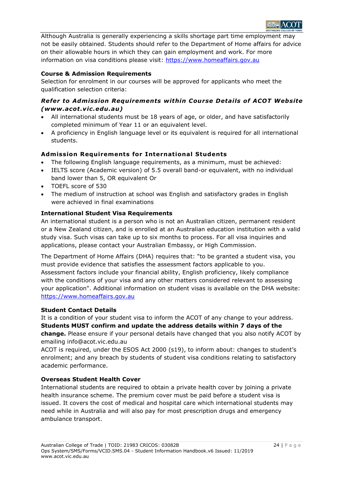

Although Australia is generally experiencing a skills shortage part time employment may not be easily obtained. Students should refer to the Department of Home affairs for advice on their allowable hours in which they can gain employment and work. For more information on visa conditions please visit: [https://www.homeaffairs.gov.au](https://www.homeaffairs.gov.au/)

# **Course & Admission Requirements**

Selection for enrolment in our courses will be approved for applicants who meet the qualification selection criteria:

# *Refer to Admission Requirements within Course Details of ACOT Website (www.acot.vic.edu.au)*

- All international students must be 18 years of age, or older, and have satisfactorily completed minimum of Year 11 or an equivalent level.
- A proficiency in English language level or its equivalent is required for all international students.

# **Adm ission Requirements for International Students**

- The following English language requirements, as a minimum, must be achieved:
- IELTS score (Academic version) of 5.5 overall band-or equivalent, with no individual band lower than 5, OR equivalent Or
- TOEFL score of 530
- The medium of instruction at school was English and satisfactory grades in English were achieved in final examinations

# **International Student Visa Requirements**

An international student is a person who is not an Australian citizen, permanent resident or a New Zealand citizen, and is enrolled at an Australian education institution with a valid study visa. Such visas can take up to six months to process. For all visa inquiries and applications, please contact your Australian Embassy, or High Commission.

The Department of Home Affairs (DHA) requires that: "to be granted a student visa, you must provide evidence that satisfies the assessment factors applicable to you. Assessment factors include your financial ability, English proficiency, likely compliance with the conditions of your visa and any other matters considered relevant to assessing your application". Additional information on student visas is available on the DHA website: [https://www.homeaffairs.gov.au](https://www.homeaffairs.gov.au/)

# **Student Contact Details**

It is a condition of your student visa to inform the ACOT of any change to your address. **Students MUST confirm and update the address details within 7 days of the change.** Please ensure if your personal details have changed that you also notify ACOT by emailing info@acot.vic.edu.au

ACOT is required, under the ESOS Act 2000 (s19), to inform about: changes to student's enrolment; and any breach by students of student visa conditions relating to satisfactory academic performance.

# **Overseas Student Health Cover**

International students are required to obtain a private health cover by joining a private health insurance scheme. The premium cover must be paid before a student visa is issued. It covers the cost of medical and hospital care which international students may need while in Australia and will also pay for most prescription drugs and emergency ambulance transport.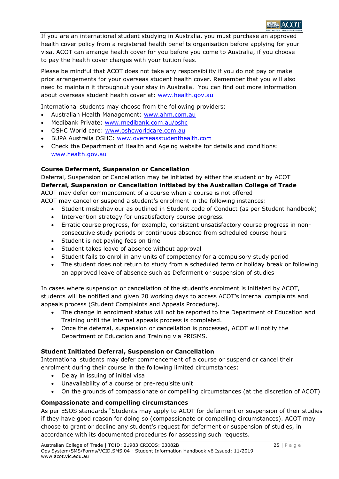

If you are an international student studying in Australia, you must purchase an approved health cover policy from a registered health benefits organisation before applying for your visa. ACOT can arrange health cover for you before you come to Australia, if you choose to pay the health cover charges with your tuition fees.

Please be mindful that ACOT does not take any responsibility if you do not pay or make prior arrangements for your overseas student health cover. Remember that you will also need to maintain it throughout your stay in Australia. You can find out more information about overseas student health cover at: [www.health.gov.au](http://www.health.gov.au/)

International students may choose from the following providers:

- Australian Health Management: [www.ahm.com.au](http://www.ahm.com.au/)
- Medibank Private: [www.medibank.com.au/oshc](http://www.medibank.com.au/oshc)
- OSHC World care: [www.oshcworldcare.com.au](http://www.oshcworldcare.com.au/)
- BUPA Australia OSHC: [www.overseasstudenthealth.com](file:///C:/Documents%20and%20Settings/rachel/My%20Documents/Downloads/www.overseasstudenthealth.com)
- Check the Department of Health and Ageing website for details and conditions: [www.health.gov.au](http://www.health.gov.au/)

# **Course Deferment, Suspension or Cancellation**

Deferral, Suspension or Cancellation may be initiated by either the student or by ACOT **Deferral, Suspension or Cancellation initiated by the Australian College of Trade**  ACOT may defer commencement of a course when a course is not offered

ACOT may cancel or suspend a student's enrolment in the following instances:

- Student misbehaviour as outlined in Student code of Conduct (as per Student handbook)
- Intervention strategy for unsatisfactory course progress.
- Erratic course progress, for example, consistent unsatisfactory course progress in nonconsecutive study periods or continuous absence from scheduled course hours
- Student is not paying fees on time
- Student takes leave of absence without approval
- Student fails to enrol in any units of competency for a compulsory study period
- The student does not return to study from a scheduled term or holiday break or following an approved leave of absence such as Deferment or suspension of studies

In cases where suspension or cancellation of the student's enrolment is initiated by ACOT, students will be notified and given 20 working days to access ACOT's internal complaints and appeals process (Student Complaints and Appeals Procedure).

- The change in enrolment status will not be reported to the Department of Education and Training until the internal appeals process is completed.
- Once the deferral, suspension or cancellation is processed, ACOT will notify the Department of Education and Training via PRISMS.

# **Student Initiated Deferral, Suspension or Cancellation**

International students may defer commencement of a course or suspend or cancel their enrolment during their course in the following limited circumstances:

- Delay in issuing of initial visa
- Unavailability of a course or pre-requisite unit
- On the grounds of compassionate or compelling circumstances (at the discretion of ACOT)

# **Compassionate and compelling circumstances**

As per ESOS standards "Students may apply to ACOT for deferment or suspension of their studies if they have good reason for doing so (compassionate or compelling circumstances). ACOT may choose to grant or decline any student's request for deferment or suspension of studies, in accordance with its documented procedures for assessing such requests.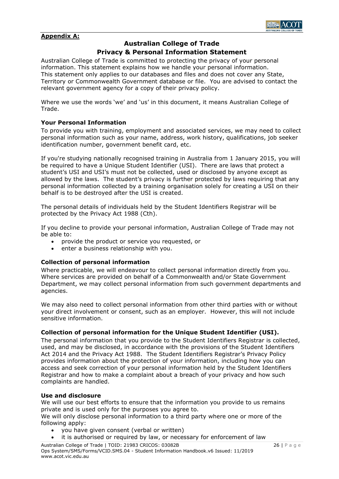

# **Appendix A:**

# **Australian College of Trade**

# **Privacy & Personal Information Statement**

Australian College of Trade is committed to protecting the privacy of your personal information. This statement explains how we handle your personal information. This statement only applies to our databases and files and does not cover any State, Territory or Commonwealth Government database or file. You are advised to contact the relevant government agency for a copy of their privacy policy.

Where we use the words 'we' and 'us' in this document, it means Australian College of Trade.

#### **Your Personal Information**

To provide you with training, employment and associated services, we may need to collect personal information such as your name, address, work history, qualifications, job seeker identification number, government benefit card, etc.

If you're studying nationally recognised training in Australia from 1 January 2015, you will be required to have a Unique Student Identifier (USI). There are laws that protect a student's USI and USI's must not be collected, used or disclosed by anyone except as allowed by the laws. The student's privacy is further protected by laws requiring that any personal information collected by a training organisation solely for creating a USI on their behalf is to be destroyed after the USI is created.

The personal details of individuals held by the Student Identifiers Registrar will be protected by the Privacy Act 1988 (Cth).

If you decline to provide your personal information, Australian College of Trade may not be able to:

- provide the product or service you requested, or
- enter a business relationship with you.

#### **Collection of personal information**

Where practicable, we will endeavour to collect personal information directly from you. Where services are provided on behalf of a Commonwealth and/or State Government Department, we may collect personal information from such government departments and agencies.

We may also need to collect personal information from other third parties with or without your direct involvement or consent, such as an employer. However, this will not include sensitive information.

# **Collection of personal information for the Unique Student Identifier (USI).**

The personal information that you provide to the Student Identifiers Registrar is collected, used, and may be disclosed, in accordance with the provisions of the Student Identifiers Act 2014 and the Privacy Act 1988. The Student Identifiers Registrar's Privacy Policy provides information about the protection of your information, including how you can access and seek correction of your personal information held by the Student Identifiers Registrar and how to make a complaint about a breach of your privacy and how such complaints are handled.

#### **Use and disclosure**

We will use our best efforts to ensure that the information you provide to us remains private and is used only for the purposes you agree to.

We will only disclose personal information to a third party where one or more of the following apply:

- you have given consent (verbal or written)
- it is authorised or required by law, or necessary for enforcement of law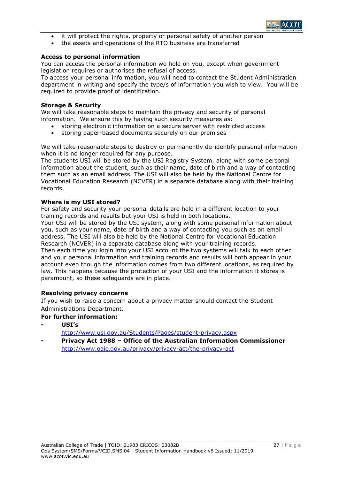

- it will protect the rights, property or personal safety of another person
- the assets and operations of the RTO business are transferred

#### **Access to personal information**

You can access the personal information we hold on you, except when government legislation requires or authorises the refusal of access.

To access your personal information, you will need to contact the Student Administration department in writing and specify the type/s of information you wish to view. You will be required to provide proof of identification.

#### **Storage & Security**

We will take reasonable steps to maintain the privacy and security of personal information. We ensure this by having such security measures as:

- storing electronic information on a secure server with restricted access
- storing paper-based documents securely on our premises

We will take reasonable steps to destroy or permanently de-identify personal information when it is no longer required for any purpose.

The students USI will be stored by the USI Registry System, along with some personal information about the student, such as their name, date of birth and a way of contacting them such as an email address. The USI will also be held by the National Centre for Vocational Education Research (NCVER) in a separate database along with their training records.

#### **Where is my USI stored?**

For safety and security your personal details are held in a different location to your training records and results but your USI is held in both locations.

Your USI will be stored by the USI system, along with some personal information about you, such as your name, date of birth and a way of contacting you such as an email address. The USI will also be held by the National Centre for Vocational Education Research (NCVER) in a separate database along with your training records.

Then each time you login into your USI account the two systems will talk to each other and your personal information and training records and results will both appear in your account even though the information comes from two different locations, as required by law. This happens because the protection of your USI and the information it stores is paramount, so these safeguards are in place.

# **Resolving privacy concerns**

If you wish to raise a concern about a privacy matter should contact the Student Administrations Department.

# **For further information:**

**- USI's**

<http://www.usi.gov.au/Students/Pages/student-privacy.aspx>

**- Privacy Act 1988 – Office of the Australian Information Commissioner** <http://www.oaic.gov.au/privacy/privacy-act/the-privacy-act>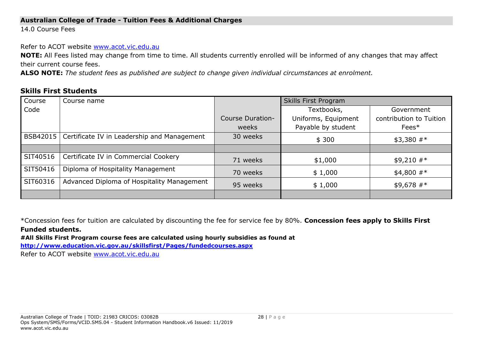# **Australian College of Trade - Tuition Fees & Additional Charges**

14.0 Course Fees

Refer to ACOT website [www.acot.vic.edu.au](http://www.acot.vic.edu.au/)

**NOTE:** All Fees listed may change from time to time. All students currently enrolled will be informed of any changes that may affect their current course fees.

**ALSO NOTE:** *The student fees as published are subject to change given individual circumstances at enrolment.*

# **Skills First Students**

| Course   | Course name                                            |                         | Skills First Program     |                         |  |
|----------|--------------------------------------------------------|-------------------------|--------------------------|-------------------------|--|
| Code     |                                                        |                         | Textbooks,<br>Government |                         |  |
|          |                                                        | <b>Course Duration-</b> | Uniforms, Equipment      | contribution to Tuition |  |
|          |                                                        | weeks                   | Payable by student       | Fees*                   |  |
|          | BSB42015   Certificate IV in Leadership and Management | 30 weeks                | \$300                    | $$3,380$ #*             |  |
|          |                                                        |                         |                          |                         |  |
| SIT40516 | Certificate IV in Commercial Cookery                   | 71 weeks                | \$1,000                  | $$9,210$ #*             |  |
| SIT50416 | Diploma of Hospitality Management                      | 70 weeks                | \$1,000                  | $$4,800$ #*             |  |
| SIT60316 | Advanced Diploma of Hospitality Management             | 95 weeks                | \$1,000                  | $$9,678$ #*             |  |
|          |                                                        |                         |                          |                         |  |

\*Concession fees for tuition are calculated by discounting the fee for service fee by 80%. **Concession fees apply to Skills First Funded students.**

**#All Skills First Program course fees are calculated using hourly subsidies as found at** 

**<http://www.education.vic.gov.au/skillsfirst/Pages/fundedcourses.aspx>**

Refer to ACOT website [www.acot.vic.edu.au](http://www.acot.vic.edu.au/)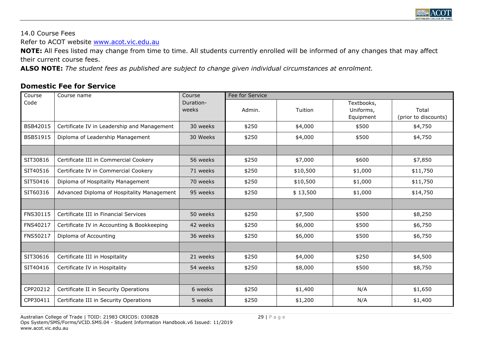

14.0 Course Fees

Refer to ACOT website [www.acot.vic.edu.au](http://www.acot.vic.edu.au/)

**NOTE:** All Fees listed may change from time to time. All students currently enrolled will be informed of any changes that may affect their current course fees.

**ALSO NOTE:** *The student fees as published are subject to change given individual circumstances at enrolment.*

# **Domestic Fee for Service**

| Course   | Course name                                 | Course             | Fee for Service |          |                                      |                               |  |
|----------|---------------------------------------------|--------------------|-----------------|----------|--------------------------------------|-------------------------------|--|
| Code     |                                             | Duration-<br>weeks | Admin.          | Tuition  | Textbooks,<br>Uniforms,<br>Equipment | Total<br>(prior to discounts) |  |
| BSB42015 | Certificate IV in Leadership and Management | 30 weeks           | \$250           | \$4,000  | \$500                                | \$4,750                       |  |
| BSB51915 | Diploma of Leadership Management            | 30 Weeks           | \$250           | \$4,000  | \$500                                | \$4,750                       |  |
|          |                                             |                    |                 |          |                                      |                               |  |
| SIT30816 | Certificate III in Commercial Cookery       | 56 weeks           | \$250           | \$7,000  | \$600                                | \$7,850                       |  |
| SIT40516 | Certificate IV in Commercial Cookery        | 71 weeks           | \$250           | \$10,500 | \$1,000                              | \$11,750                      |  |
| SIT50416 | Diploma of Hospitality Management           | 70 weeks           | \$250           | \$10,500 | \$1,000                              | \$11,750                      |  |
| SIT60316 | Advanced Diploma of Hospitality Management  | 95 weeks           | \$250           | \$13,500 | \$1,000                              | \$14,750                      |  |
|          |                                             |                    |                 |          |                                      |                               |  |
| FNS30115 | Certificate III in Financial Services       | 50 weeks           | \$250           | \$7,500  | \$500                                | \$8,250                       |  |
| FNS40217 | Certificate IV in Accounting & Bookkeeping  | 42 weeks           | \$250           | \$6,000  | \$500                                | \$6,750                       |  |
| FNS50217 | Diploma of Accounting                       | 36 weeks           | \$250           | \$6,000  | \$500                                | \$6,750                       |  |
|          |                                             |                    |                 |          |                                      |                               |  |
| SIT30616 | Certificate III in Hospitality              | 21 weeks           | \$250           | \$4,000  | \$250                                | \$4,500                       |  |
| SIT40416 | Certificate IV in Hospitality               | 54 weeks           | \$250           | \$8,000  | \$500                                | \$8,750                       |  |
|          |                                             |                    |                 |          |                                      |                               |  |
| CPP20212 | Certificate II in Security Operations       | 6 weeks            | \$250           | \$1,400  | N/A                                  | \$1,650                       |  |
| CPP30411 | Certificate III in Security Operations      | 5 weeks            | \$250           | \$1,200  | N/A                                  | \$1,400                       |  |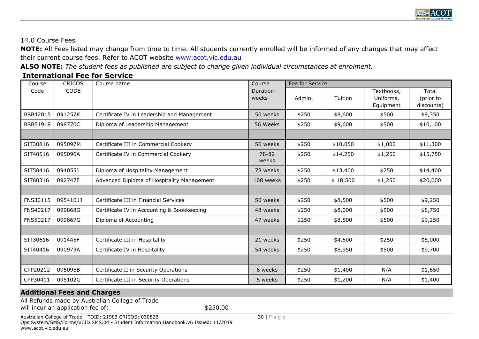

# 14.0 Course Fees

**NOTE:** All Fees listed may change from time to time. All students currently enrolled will be informed of any changes that may affect their current course fees. Refer to ACOT website [www.acot.vic.edu.au](http://www.acot.vic.edu.au/)

**ALSO NOTE:** *The student fees as published are subject to change given individual circumstances at enrolment.*

# **International Fee for Service**

| Course          | <b>CRICOS</b> | Course name                                 | Course             | Fee for Service |          |                                      |                                  |
|-----------------|---------------|---------------------------------------------|--------------------|-----------------|----------|--------------------------------------|----------------------------------|
| Code            | <b>CODE</b>   |                                             | Duration-<br>weeks | Admin.          | Tuition  | Textbooks,<br>Uniforms,<br>Equipment | Total<br>(prior to<br>discounts) |
| BSB42015        | 091257K       | Certificate IV in Leadership and Management | 50 weeks           | \$250           | \$8,600  | \$500                                | \$9,350                          |
| <b>BSB51918</b> | 098770C       | Diploma of Leadership Management            | 56 Weeks           | \$250           | \$9,600  | \$500                                | \$10,100                         |
|                 |               |                                             |                    |                 |          |                                      |                                  |
| SIT30816        | 095097M       | Certificate III in Commercial Cookery       | 56 weeks           | \$250           | \$10,050 | \$1,000                              | \$11,300                         |
| SIT40516        | 095096A       | Certificate IV in Commercial Cookery        | 78-82<br>weeks     | \$250           | \$14,250 | \$1,250                              | \$15,750                         |
| SIT50416        | 094055J       | Diploma of Hospitality Management           | 78 weeks           | \$250           | \$13,400 | \$750                                | \$14,400                         |
| SIT60316        | 092747F       | Advanced Diploma of Hospitality Management  | 108 weeks          | \$250           | \$18,500 | \$1,250                              | \$20,000                         |
|                 |               |                                             |                    |                 |          |                                      |                                  |
| FNS30115        | 0954101J      | Certificate III in Financial Services       | 50 weeks           | \$250           | \$8,500  | \$500                                | \$9,250                          |
| FNS40217        | 099868G       | Certificate IV in Accounting & Bookkeeping  | 48 weeks           | \$250           | \$8,000  | \$500                                | \$8,750                          |
| FNS50217        | 099867G       | Diploma of Accounting                       | 47 weeks           | \$250           | \$8,500  | \$500                                | \$9,250                          |
|                 |               |                                             |                    |                 |          |                                      |                                  |
| SIT30616        | 091445F       | Certificate III in Hospitality              | 21 weeks           | \$250           | \$4,500  | \$250                                | \$5,000                          |
| SIT40416        | 090973A       | Certificate IV in Hospitality               | 54 weeks           | \$250           | \$8,950  | \$500                                | \$9,700                          |
|                 |               |                                             |                    |                 |          |                                      |                                  |
| CPP20212        | 095095B       | Certificate II in Security Operations       | 6 weeks            | \$250           | \$1,400  | N/A                                  | \$1,650                          |
| CPP30411        | 095102G       | Certificate III in Security Operations      | 5 weeks            | \$250           | \$1,200  | N/A                                  | \$1,400                          |

# **Additional Fees and Charges**

All Refunds made by Australian College of Trade will incur an application fee of:  $$250.00$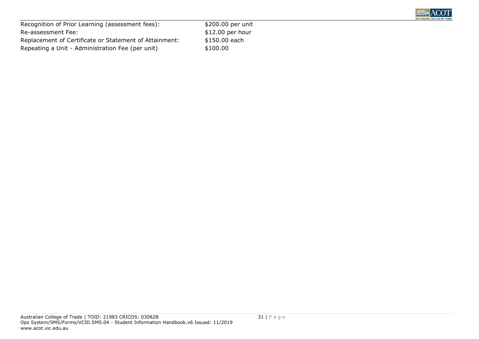

| Recognition of Prior Learning (assessment fees):       |
|--------------------------------------------------------|
| Re-assessment Fee:                                     |
| Replacement of Certificate or Statement of Attainment: |
| Repeating a Unit - Administration Fee (per unit)       |
|                                                        |

 $$200.00$  per unit  $$12.00$  per hour  $$150.00$  each  $$100.00$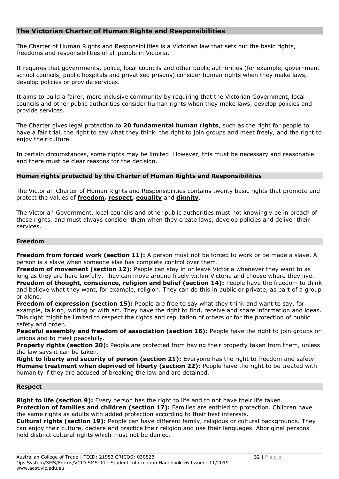# **The Victorian Charter of Human Rights and Responsibilities**

The Charter of Human Rights and Responsibilities is a Victorian law that sets out the basic rights, freedoms and responsibilities of all people in Victoria.

It requires that governments, police, local councils and other public authorities (for example, government school councils, public hospitals and privatised prisons) consider human rights when they make laws, develop policies or provide services.

It aims to build a fairer, more inclusive community by requiring that the Victorian Government, local councils and other public authorities consider human rights when they make laws, develop policies and provide services.

The Charter gives legal protection to **[20 fundamental human rights](http://www.victorianhumanrightscommission.com/www/index.php?option=com_k2&view=item&layout=item&id=905&Itemid=520)**, such as the right for people to have a fair trial, the right to say what they think, the right to join groups and meet freely, and the right to enjoy their culture.

In certain circumstances, some rights may be limited. However, this must be necessary and reasonable and there must be clear reasons for the decision.

# **Human rights protected by the Charter of Human Rights and Responsibilities**

The Victorian Charter of Human Rights and Responsibilities contains twenty basic rights that promote and protect the values of **[freedom,](http://www.victorianhumanrightscommission.com/www/index.php?option=com_k2&view=item&layout=item&id=905&Itemid=520#Freedom) [respect,](http://www.victorianhumanrightscommission.com/www/index.php?option=com_k2&view=item&layout=item&id=905&Itemid=520#Respect) [equality](http://www.victorianhumanrightscommission.com/www/index.php?option=com_k2&view=item&layout=item&id=905&Itemid=520#Equality)** and **[dignity](http://www.victorianhumanrightscommission.com/www/index.php?option=com_k2&view=item&layout=item&id=905&Itemid=520#Dignity)**.

The Victorian Government, local councils and other public authorities must not knowingly be in breach of these rights, and must always consider them when they create laws, develop policies and deliver their services.

# **Freedom**

**Freedom from forced work (section 11):** A person must not be forced to work or be made a slave. A person is a slave when someone else has complete control over them.

**Freedom of movement (section 12):** People can stay in or leave Victoria whenever they want to as long as they are here lawfully. They can move around freely within Victoria and choose where they live. **Freedom of thought, conscience, religion and belief (section 14):** People have the freedom to think and believe what they want, for example, religion. They can do this in public or private, as part of a group or alone.

**Freedom of expression (section 15):** People are free to say what they think and want to say, for example, talking, writing or with art. They have the right to find, receive and share information and ideas. This right might be limited to respect the rights and reputation of others or for the protection of public safety and order.

**Peaceful assembly and freedom of association (section 16):** People have the right to join groups or unions and to meet peacefully.

**Property rights (section 20):** People are protected from having their property taken from them, unless the law says it can be taken.

**Right to liberty and security of person (section 21):** Everyone has the right to freedom and safety. **Humane treatment when deprived of liberty (section 22):** People have the right to be treated with humanity if they are accused of breaking the law and are detained.

#### **Respect**

**Right to life (section 9):** Every person has the right to life and to not have their life taken. Protection of families and children (section 17): Families are entitled to protection. Children have the same rights as adults with added protection according to their best interests.

**Cultural rights (section 19):** People can have different family, religious or cultural backgrounds. They can enjoy their culture, declare and practice their religion and use their languages. Aboriginal persons hold distinct cultural rights which must not be denied.